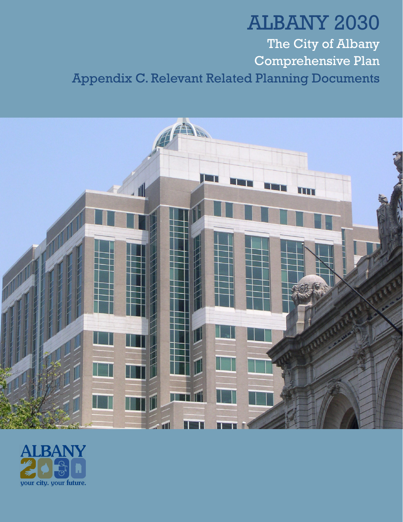## ALBANY 2030 The City of Albany Comprehensive Plan Appendix C. Relevant Related Planning Documents